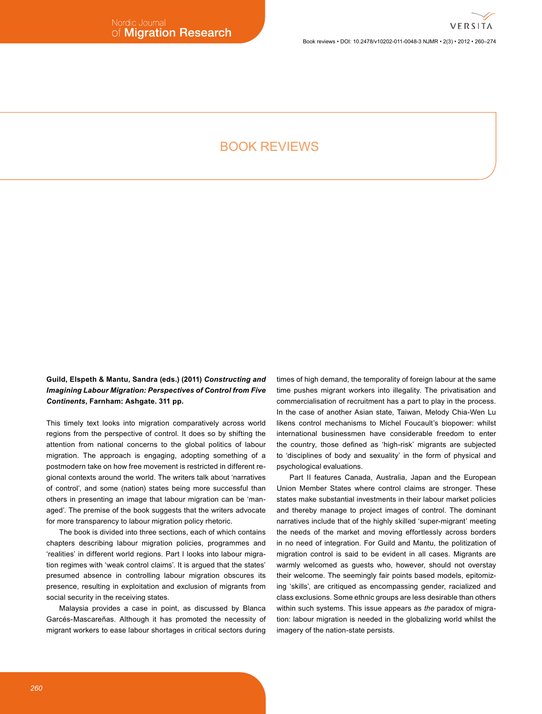### Book reviews . DOI: 10.2478/v10202-011-0048-3 NJMR . 2(3) . 2012 . 260-274

# **BOOK REVIEWS**

Guild, Elspeth & Mantu, Sandra (eds.) (2011) Constructing and **Imagining Labour Migration: Perspectives of Control from Five** Continents, Farnham: Ashgate. 311 pp.

This timely text looks into migration comparatively across world regions from the perspective of control. It does so by shifting the attention from national concerns to the global politics of labour migration. The approach is engaging, adopting something of a postmodern take on how free movement is restricted in different regional contexts around the world. The writers talk about 'narratives of control', and some (nation) states being more successful than others in presenting an image that labour migration can be 'managed'. The premise of the book suggests that the writers advocate for more transparency to labour migration policy rhetoric.

The book is divided into three sections, each of which contains chapters describing labour migration policies, programmes and 'realities' in different world regions. Part I looks into labour migration regimes with 'weak control claims'. It is argued that the states' presumed absence in controlling labour migration obscures its presence, resulting in exploitation and exclusion of migrants from social security in the receiving states.

Malaysia provides a case in point, as discussed by Blanca Garcés-Mascareñas. Although it has promoted the necessity of migrant workers to ease labour shortages in critical sectors during

times of high demand, the temporality of foreign labour at the same time pushes migrant workers into illegality. The privatisation and commercialisation of recruitment has a part to play in the process. In the case of another Asian state, Taiwan, Melody Chia-Wen Lu likens control mechanisms to Michel Foucault's biopower: whilst international businessmen have considerable freedom to enter the country, those defined as 'high-risk' migrants are subjected to 'disciplines of body and sexuality' in the form of physical and psychological evaluations.

Part II features Canada, Australia, Japan and the European Union Member States where control claims are stronger. These states make substantial investments in their labour market policies and thereby manage to project images of control. The dominant narratives include that of the highly skilled 'super-migrant' meeting the needs of the market and moving effortlessly across borders in no need of integration. For Guild and Mantu, the politization of migration control is said to be evident in all cases. Migrants are warmly welcomed as guests who, however, should not overstay their welcome. The seemingly fair points based models, epitomizing 'skills', are critiqued as encompassing gender, racialized and class exclusions. Some ethnic groups are less desirable than others within such systems. This issue appears as the paradox of migration: labour migration is needed in the globalizing world whilst the imagery of the nation-state persists.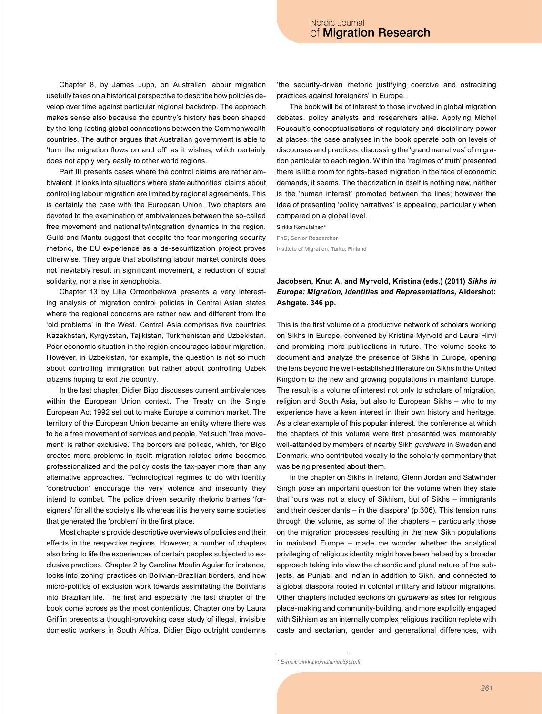Chapter 8, by James Jupp, on Australian labour migration usefully takes on a historical perspective to describe how policies develop over time against particular regional backdrop. The approach makes sense also because the country's history has been shaped by the long-lasting global connections between the Commonwealth countries. The author argues that Australian government is able to 'turn the migration flows on and off' as it wishes, which certainly does not apply very easily to other world regions.

Part III presents cases where the control claims are rather ambivalent. It looks into situations where state authorities' claims about controlling labour migration are limited by regional agreements. This is certainly the case with the European Union. Two chapters are devoted to the examination of ambivalences between the so-called free movement and nationality/integration dynamics in the region. Guild and Mantu suggest that despite the fear-mongering security rhetoric, the EU experience as a de-securitization project proves otherwise. They argue that abolishing labour market controls does not inevitably result in significant movement, a reduction of social solidarity, nor a rise in xenophobia.

Chapter 13 by Lilia Ormonbekova presents a very interesting analysis of migration control policies in Central Asian states where the regional concerns are rather new and different from the 'old problems' in the West. Central Asia comprises five countries Kazakhstan, Kyrgyzstan, Tajikistan, Turkmenistan and Uzbekistan. Poor economic situation in the region encourages labour migration. However, in Uzbekistan, for example, the question is not so much about controlling immigration but rather about controlling Uzbek citizens hoping to exit the country.

In the last chapter, Didier Bigo discusses current ambivalences within the European Union context. The Treaty on the Single European Act 1992 set out to make Europe a common market. The territory of the European Union became an entity where there was to be a free movement of services and people. Yet such 'free movement' is rather exclusive. The borders are policed, which, for Bigo creates more problems in itself: migration related crime becomes professionalized and the policy costs the tax-payer more than any alternative approaches. Technological regimes to do with identity 'construction' encourage the very violence and insecurity they intend to combat. The police driven security rhetoric blames 'foreigners' for all the society's ills whereas it is the very same societies that generated the 'problem' in the first place.

Most chapters provide descriptive overviews of policies and their effects in the respective regions. However, a number of chapters also bring to life the experiences of certain peoples subjected to exclusive practices. Chapter 2 by Carolina Moulin Aguiar for instance, looks into 'zoning' practices on Bolivian-Brazilian borders, and how micro-politics of exclusion work towards assimilating the Bolivians into Brazilian life. The first and especially the last chapter of the book come across as the most contentious. Chapter one by Laura Griffin presents a thought-provoking case study of illegal, invisible domestic workers in South Africa. Didier Bigo outright condemns 'the security-driven rhetoric justifying coercive and ostracizing practices against foreigners' in Europe.

The book will be of interest to those involved in global migration debates, policy analysts and researchers alike. Applying Michel Foucault's conceptualisations of regulatory and disciplinary power at places, the case analyses in the book operate both on levels of discourses and practices, discussing the 'grand narratives' of migration particular to each region. Within the 'regimes of truth' presented there is little room for rights-based migration in the face of economic demands, it seems. The theorization in itself is nothing new, neither is the 'human interest' promoted between the lines; however the idea of presenting 'policy narratives' is appealing, particularly when compared on a global level.

Sirkka Komulainen\* PhD. Senior Researcher Institute of Migration, Turku, Finland

# Jacobsen, Knut A. and Myrvold, Kristina (eds.) (2011) Sikhs in Europe: Migration, Identities and Representations, Aldershot: Ashgate. 346 pp.

This is the first volume of a productive network of scholars working on Sikhs in Europe, convened by Kristina Myrvold and Laura Hirvi and promising more publications in future. The volume seeks to document and analyze the presence of Sikhs in Europe, opening the lens beyond the well-established literature on Sikhs in the United Kingdom to the new and growing populations in mainland Europe. The result is a volume of interest not only to scholars of migration, religion and South Asia, but also to European Sikhs - who to my experience have a keen interest in their own history and heritage. As a clear example of this popular interest, the conference at which the chapters of this volume were first presented was memorably well-attended by members of nearby Sikh gurdware in Sweden and Denmark, who contributed vocally to the scholarly commentary that was being presented about them.

In the chapter on Sikhs in Ireland, Glenn Jordan and Satwinder Singh pose an important question for the volume when they state that 'ours was not a study of Sikhism, but of Sikhs - immigrants and their descendants  $-$  in the diaspora' (p.306). This tension runs through the volume, as some of the chapters - particularly those on the migration processes resulting in the new Sikh populations in mainland Europe – made me wonder whether the analytical privileging of religious identity might have been helped by a broader approach taking into view the chaordic and plural nature of the subjects, as Punjabi and Indian in addition to Sikh, and connected to a global diaspora rooted in colonial military and labour migrations. Other chapters included sections on *gurdware* as sites for religious place-making and community-building, and more explicitly engaged with Sikhism as an internally complex religious tradition replete with caste and sectarian, gender and generational differences, with

<sup>\*</sup> E-mail: sirkka.komulainen@utu.fi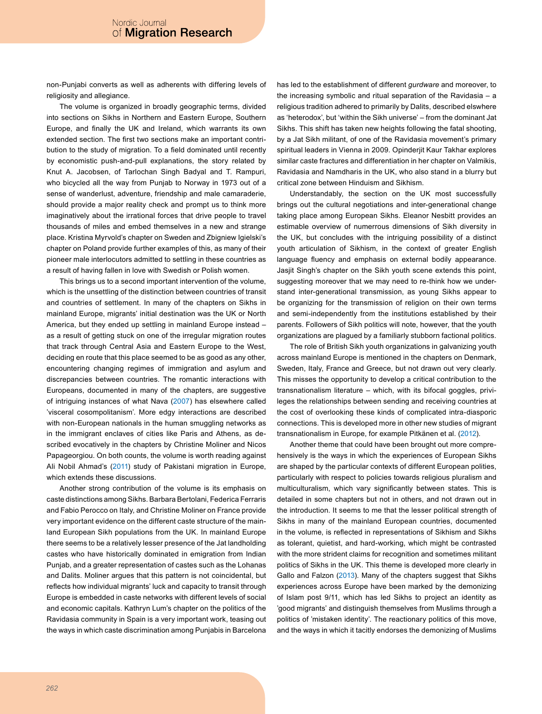non-Punjabi converts as well as adherents with differing levels of religiosity and allegiance.

The volume is organized in broadly geographic terms, divided into sections on Sikhs in Northern and Eastern Europe, Southern Europe, and finally the UK and Ireland, which warrants its own extended section. The first two sections make an important contribution to the study of migration. To a field dominated until recently by economistic push-and-pull explanations, the story related by Knut A. Jacobsen, of Tarlochan Singh Badyal and T. Rampuri, who bicycled all the way from Punjab to Norway in 1973 out of a sense of wanderlust, adventure, friendship and male camaraderie, should provide a major reality check and prompt us to think more imaginatively about the irrational forces that drive people to travel thousands of miles and embed themselves in a new and strange place. Kristina Myrvold's chapter on Sweden and Zbigniew Igielski's chapter on Poland provide further examples of this, as many of their pioneer male interlocutors admitted to settling in these countries as a result of having fallen in love with Swedish or Polish women.

This brings us to a second important intervention of the volume, which is the unsettling of the distinction between countries of transit and countries of settlement. In many of the chapters on Sikhs in mainland Europe, migrants' initial destination was the UK or North America, but they ended up settling in mainland Europe instead as a result of getting stuck on one of the irregular migration routes that track through Central Asia and Eastern Europe to the West, deciding en route that this place seemed to be as good as any other, encountering changing regimes of immigration and asylum and discrepancies between countries. The romantic interactions with Europeans, documented in many of the chapters, are suggestive of intriguing instances of what Nava (2007) has elsewhere called 'visceral cosompolitanism'. More edgy interactions are described with non-European nationals in the human smuggling networks as in the immigrant enclaves of cities like Paris and Athens, as described evocatively in the chapters by Christine Moliner and Nicos Papageorgiou. On both counts, the volume is worth reading against Ali Nobil Ahmad's (2011) study of Pakistani migration in Europe, which extends these discussions.

Another strong contribution of the volume is its emphasis on caste distinctions among Sikhs. Barbara Bertolani, Federica Ferraris and Fabio Perocco on Italy, and Christine Moliner on France provide very important evidence on the different caste structure of the mainland European Sikh populations from the UK. In mainland Europe there seems to be a relatively lesser presence of the Jat landholding castes who have historically dominated in emigration from Indian Punjab, and a greater representation of castes such as the Lohanas and Dalits. Moliner argues that this pattern is not coincidental, but reflects how individual migrants' luck and capacity to transit through Europe is embedded in caste networks with different levels of social and economic capitals. Kathryn Lum's chapter on the politics of the Ravidasia community in Spain is a very important work, teasing out the ways in which caste discrimination among Punjabis in Barcelona

has led to the establishment of different gurdware and moreover, to the increasing symbolic and ritual separation of the Ravidasia  $-$  a religious tradition adhered to primarily by Dalits, described elswhere as 'heterodox', but 'within the Sikh universe' - from the dominant Jat Sikhs. This shift has taken new heights following the fatal shooting, by a Jat Sikh militant, of one of the Ravidasia movement's primary spiritual leaders in Vienna in 2009. Opinderjit Kaur Takhar explores similar caste fractures and differentiation in her chapter on Valmikis, Ravidasia and Namdharis in the UK, who also stand in a blurry but critical zone between Hinduism and Sikhism.

Understandably, the section on the UK most successfully brings out the cultural negotiations and inter-generational change taking place among European Sikhs. Eleanor Nesbitt provides an estimable overview of numerrous dimensions of Sikh diversity in the UK, but concludes with the intriguing possibility of a distinct youth articulation of Sikhism, in the context of greater English language fluency and emphasis on external bodily appearance. Jasjit Singh's chapter on the Sikh youth scene extends this point, suggesting moreover that we may need to re-think how we understand inter-generational transmission, as young Sikhs appear to be organizing for the transmission of religion on their own terms and semi-independently from the institutions established by their parents. Followers of Sikh politics will note, however, that the youth organizations are plagued by a familiarly stubborn factional politics.

The role of British Sikh youth organizations in galvanizing youth across mainland Europe is mentioned in the chapters on Denmark, Sweden, Italy, France and Greece, but not drawn out very clearly. This misses the opportunity to develop a critical contribution to the transnationalism literature - which, with its bifocal goggles, privileges the relationships between sending and receiving countries at the cost of overlooking these kinds of complicated intra-diasporic connections. This is developed more in other new studies of migrant transnationalism in Europe, for example Pitkänen et al. (2012).

Another theme that could have been brought out more comprehensively is the ways in which the experiences of European Sikhs are shaped by the particular contexts of different European polities, particularly with respect to policies towards religious pluralism and multiculturalism, which vary significantly between states. This is detailed in some chapters but not in others, and not drawn out in the introduction. It seems to me that the lesser political strength of Sikhs in many of the mainland European countries, documented in the volume, is reflected in representations of Sikhism and Sikhs as tolerant, quietist, and hard-working, which might be contrasted with the more strident claims for recognition and sometimes militant politics of Sikhs in the UK. This theme is developed more clearly in Gallo and Falzon (2013). Many of the chapters suggest that Sikhs experiences across Europe have been marked by the demonizing of Islam post 9/11, which has led Sikhs to project an identity as 'good migrants' and distinguish themselves from Muslims through a politics of 'mistaken identity'. The reactionary politics of this move, and the ways in which it tacitly endorses the demonizing of Muslims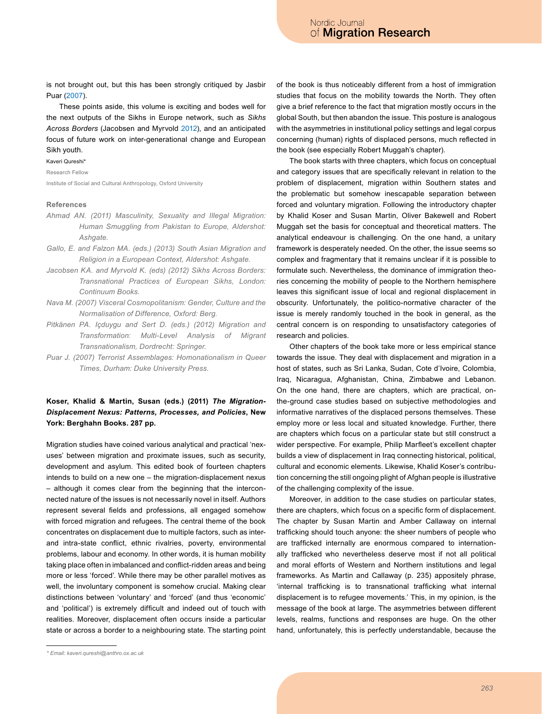is not brought out, but this has been strongly critiqued by Jasbir Puar (2007).

These points aside, this volume is exciting and bodes well for the next outputs of the Sikhs in Europe network, such as Sikhs Across Borders (Jacobsen and Myrvold 2012), and an anticipated focus of future work on inter-generational change and European Sikh youth.

#### Kaveri Qureshi\*

Research Fellow

Institute of Social and Cultural Anthropology, Oxford University

### References

- Ahmad AN. (2011) Masculinity, Sexuality and Illegal Migration: Human Smuggling from Pakistan to Europe, Aldershot: Ashgate.
- Gallo, E. and Falzon MA. (eds.) (2013) South Asian Migration and Religion in a European Context, Aldershot: Ashgate.
- Jacobsen KA. and Myrvold K. (eds) (2012) Sikhs Across Borders: Transnational Practices of European Sikhs, London: Continuum Books.
- Nava M. (2007) Visceral Cosmopolitanism: Gender, Culture and the Normalisation of Difference, Oxford: Berg.
- Pitkänen PA. Içduygu and Sert D. (eds.) (2012) Migration and Transformation: Multi-Level Analysis of Migrant Transnationalism, Dordrecht: Springer.
- Puar J. (2007) Terrorist Assemblages: Homonationalism in Queer Times, Durham: Duke University Press.

# Koser, Khalid & Martin, Susan (eds.) (2011) The Migration-Displacement Nexus: Patterns, Processes, and Policies, New York: Berghahn Books. 287 pp.

Migration studies have coined various analytical and practical 'nexuses' between migration and proximate issues, such as security, development and asylum. This edited book of fourteen chapters intends to build on a new one - the migration-displacement nexus - although it comes clear from the beginning that the interconnected nature of the issues is not necessarily novel in itself. Authors represent several fields and professions, all engaged somehow with forced migration and refugees. The central theme of the book concentrates on displacement due to multiple factors, such as interand intra-state conflict, ethnic rivalries, poverty, environmental problems, labour and economy. In other words, it is human mobility taking place often in imbalanced and conflict-ridden areas and being more or less 'forced'. While there may be other parallel motives as well, the involuntary component is somehow crucial. Making clear distinctions between 'voluntary' and 'forced' (and thus 'economic' and 'political') is extremely difficult and indeed out of touch with realities. Moreover, displacement often occurs inside a particular state or across a border to a neighbouring state. The starting point of the book is thus noticeably different from a host of immigration studies that focus on the mobility towards the North. They often give a brief reference to the fact that migration mostly occurs in the global South, but then abandon the issue. This posture is analogous with the asymmetries in institutional policy settings and legal corpus concerning (human) rights of displaced persons, much reflected in the book (see especially Robert Muggah's chapter).

The book starts with three chapters, which focus on conceptual and category issues that are specifically relevant in relation to the problem of displacement, migration within Southern states and the problematic but somehow inescapable separation between forced and voluntary migration. Following the introductory chapter by Khalid Koser and Susan Martin, Oliver Bakewell and Robert Muggah set the basis for conceptual and theoretical matters. The analytical endeavour is challenging. On the one hand, a unitary framework is desperately needed. On the other, the issue seems so complex and fragmentary that it remains unclear if it is possible to formulate such. Nevertheless, the dominance of immigration theories concerning the mobility of people to the Northern hemisphere leaves this significant issue of local and regional displacement in obscurity. Unfortunately, the politico-normative character of the issue is merely randomly touched in the book in general, as the central concern is on responding to unsatisfactory categories of research and policies.

Other chapters of the book take more or less empirical stance towards the issue. They deal with displacement and migration in a host of states, such as Sri Lanka, Sudan, Cote d'Ivoire, Colombia, Iraq, Nicaragua, Afghanistan, China, Zimbabwe and Lebanon. On the one hand, there are chapters, which are practical, onthe-ground case studies based on subjective methodologies and informative narratives of the displaced persons themselves. These employ more or less local and situated knowledge. Further, there are chapters which focus on a particular state but still construct a wider perspective. For example, Philip Marfleet's excellent chapter builds a view of displacement in Iraq connecting historical, political, cultural and economic elements. Likewise, Khalid Koser's contribution concerning the still ongoing plight of Afghan people is illustrative of the challenging complexity of the issue.

Moreover, in addition to the case studies on particular states, there are chapters, which focus on a specific form of displacement. The chapter by Susan Martin and Amber Callaway on internal trafficking should touch anyone: the sheer numbers of people who are trafficked internally are enormous compared to internationally trafficked who nevertheless deserve most if not all political and moral efforts of Western and Northern institutions and legal frameworks. As Martin and Callaway (p. 235) appositely phrase, 'internal trafficking is to transnational trafficking what internal displacement is to refugee movements.' This, in my opinion, is the message of the book at large. The asymmetries between different levels, realms, functions and responses are huge. On the other hand, unfortunately, this is perfectly understandable, because the

<sup>\*</sup> Email: kaveri.qureshi@anthro.ox.ac.uk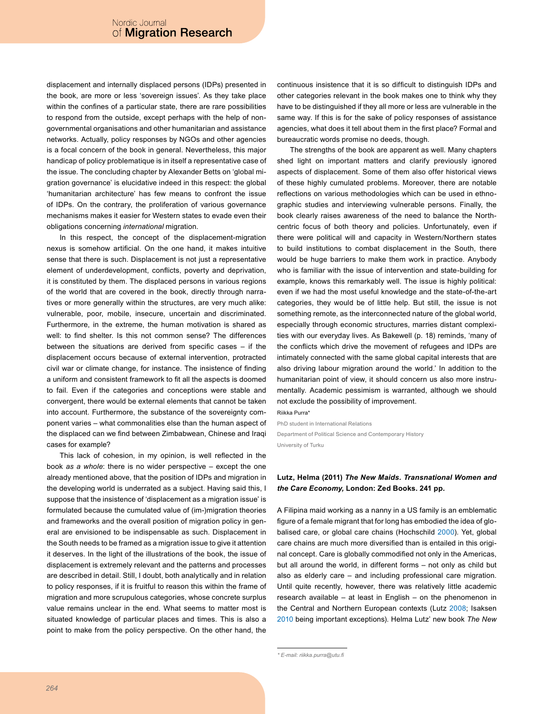displacement and internally displaced persons (IDPs) presented in the book, are more or less 'sovereign issues'. As they take place within the confines of a particular state, there are rare possibilities to respond from the outside, except perhaps with the help of nongovernmental organisations and other humanitarian and assistance networks. Actually, policy responses by NGOs and other agencies is a focal concern of the book in general. Nevertheless, this major handicap of policy problematique is in itself a representative case of the issue. The concluding chapter by Alexander Betts on 'global migration governance' is elucidative indeed in this respect: the global 'humanitarian architecture' has few means to confront the issue of IDPs. On the contrary, the proliferation of various governance mechanisms makes it easier for Western states to evade even their obligations concerning international migration.

In this respect, the concept of the displacement-migration nexus is somehow artificial. On the one hand, it makes intuitive sense that there is such. Displacement is not just a representative element of underdevelopment, conflicts, poverty and deprivation, it is constituted by them. The displaced persons in various regions of the world that are covered in the book, directly through narratives or more generally within the structures, are very much alike: vulnerable, poor, mobile, insecure, uncertain and discriminated. Furthermore, in the extreme, the human motivation is shared as well: to find shelter. Is this not common sense? The differences between the situations are derived from specific cases  $-$  if the displacement occurs because of external intervention, protracted civil war or climate change, for instance. The insistence of finding a uniform and consistent framework to fit all the aspects is doomed to fail. Even if the categories and conceptions were stable and convergent, there would be external elements that cannot be taken into account. Furthermore, the substance of the sovereignty component varies - what commonalities else than the human aspect of the displaced can we find between Zimbabwean, Chinese and Iraqi cases for example?

This lack of cohesion, in my opinion, is well reflected in the book as a whole: there is no wider perspective  $-$  except the one already mentioned above, that the position of IDPs and migration in the developing world is underrated as a subject. Having said this, I suppose that the insistence of 'displacement as a migration issue' is formulated because the cumulated value of (im-)migration theories and frameworks and the overall position of migration policy in general are envisioned to be indispensable as such. Displacement in the South needs to be framed as a migration issue to give it attention it deserves. In the light of the illustrations of the book, the issue of displacement is extremely relevant and the patterns and processes are described in detail. Still, I doubt, both analytically and in relation to policy responses, if it is fruitful to reason this within the frame of migration and more scrupulous categories, whose concrete surplus value remains unclear in the end. What seems to matter most is situated knowledge of particular places and times. This is also a point to make from the policy perspective. On the other hand, the

continuous insistence that it is so difficult to distinguish IDPs and other categories relevant in the book makes one to think why they have to be distinguished if they all more or less are vulnerable in the same way. If this is for the sake of policy responses of assistance agencies, what does it tell about them in the first place? Formal and bureaucratic words promise no deeds, though.

The strengths of the book are apparent as well. Many chapters shed light on important matters and clarify previously ignored aspects of displacement. Some of them also offer historical views of these highly cumulated problems. Moreover, there are notable reflections on various methodologies which can be used in ethnographic studies and interviewing vulnerable persons. Finally, the book clearly raises awareness of the need to balance the Northcentric focus of both theory and policies. Unfortunately, even if there were political will and capacity in Western/Northern states to build institutions to combat displacement in the South, there would be huge barriers to make them work in practice. Anybody who is familiar with the issue of intervention and state-building for example, knows this remarkably well. The issue is highly political: even if we had the most useful knowledge and the state-of-the-art categories, they would be of little help. But still, the issue is not something remote, as the interconnected nature of the global world, especially through economic structures, marries distant complexities with our everyday lives. As Bakewell (p. 18) reminds, 'many of the conflicts which drive the movement of refugees and IDPs are intimately connected with the same global capital interests that are also driving labour migration around the world.' In addition to the humanitarian point of view, it should concern us also more instrumentally. Academic pessimism is warranted, although we should not exclude the possibility of improvement.

Riikka Purra

PhD student in International Relations Department of Political Science and Contemporary History University of Turku

### Lutz, Helma (2011) The New Maids. Transnational Women and the Care Economy, London: Zed Books. 241 pp.

A Filipina maid working as a nanny in a US family is an emblematic figure of a female migrant that for long has embodied the idea of globalised care, or global care chains (Hochschild 2000). Yet, global care chains are much more diversified than is entailed in this original concept. Care is globally commodified not only in the Americas, but all around the world, in different forms - not only as child but also as elderly care - and including professional care migration. Until quite recently, however, there was relatively little academic research available - at least in English - on the phenomenon in the Central and Northern European contexts (Lutz 2008; Isaksen 2010 being important exceptions). Helma Lutz' new book The New

<sup>\*</sup> E-mail: riikka.purra@utu.fi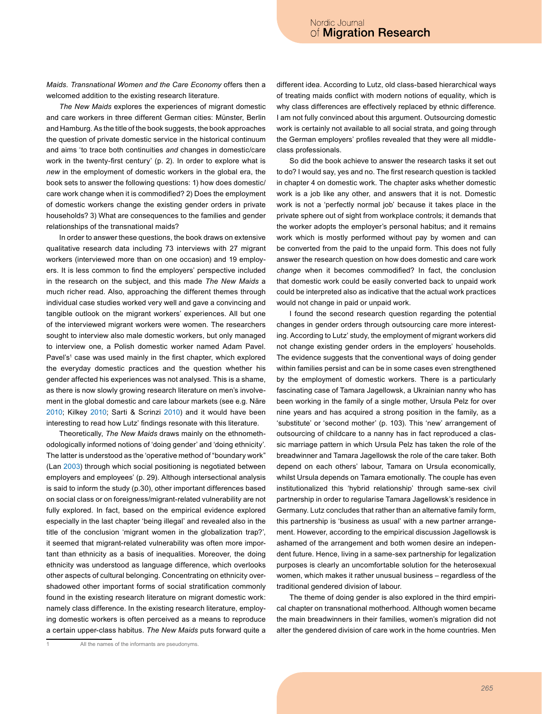Maids. Transnational Women and the Care Economy offers then a welcomed addition to the existing research literature.

The New Maids explores the experiences of migrant domestic and care workers in three different German cities: Münster, Berlin and Hamburg. As the title of the book suggests, the book approaches the question of private domestic service in the historical continuum and aims 'to trace both continuities and changes in domestic/care work in the twenty-first century' (p. 2). In order to explore what is new in the employment of domestic workers in the global era, the book sets to answer the following questions: 1) how does domestic/ care work change when it is commodified? 2) Does the employment of domestic workers change the existing gender orders in private households? 3) What are consequences to the families and gender relationships of the transnational maids?

In order to answer these questions, the book draws on extensive qualitative research data including 73 interviews with 27 migrant workers (interviewed more than on one occasion) and 19 employers. It is less common to find the employers' perspective included in the research on the subject, and this made The New Maids a much richer read. Also, approaching the different themes through individual case studies worked very well and gave a convincing and tangible outlook on the migrant workers' experiences. All but one of the interviewed migrant workers were women. The researchers sought to interview also male domestic workers, but only managed to interview one, a Polish domestic worker named Adam Pavel. Pavel's<sup>1</sup> case was used mainly in the first chapter, which explored the everyday domestic practices and the question whether his gender affected his experiences was not analysed. This is a shame, as there is now slowly growing research literature on men's involvement in the global domestic and care labour markets (see e.g. Näre 2010; Kilkey 2010; Sarti & Scrinzi 2010) and it would have been interesting to read how Lutz' findings resonate with this literature.

Theoretically, The New Maids draws mainly on the ethnomethodologically informed notions of 'doing gender' and 'doing ethnicity'. The latter is understood as the 'operative method of "boundary work" (Lan 2003) through which social positioning is negotiated between employers and employees' (p. 29). Although intersectional analysis is said to inform the study (p.30), other important differences based on social class or on foreigness/migrant-related vulnerability are not fully explored. In fact, based on the empirical evidence explored especially in the last chapter 'being illegal' and revealed also in the title of the conclusion 'migrant women in the globalization trap?', it seemed that migrant-related vulnerability was often more important than ethnicity as a basis of inequalities. Moreover, the doing ethnicity was understood as language difference, which overlooks other aspects of cultural belonging. Concentrating on ethnicity overshadowed other important forms of social stratification commonly found in the existing research literature on migrant domestic work: namely class difference. In the existing research literature, employing domestic workers is often perceived as a means to reproduce a certain upper-class habitus. The New Maids puts forward quite a

All the names of the informants are pseudonyms.

different idea. According to Lutz, old class-based hierarchical ways of treating maids conflict with modern notions of equality, which is why class differences are effectively replaced by ethnic difference. I am not fully convinced about this argument. Outsourcing domestic work is certainly not available to all social strata, and going through the German employers' profiles revealed that they were all middleclass professionals.

So did the book achieve to answer the research tasks it set out to do? I would say, yes and no. The first research question is tackled in chapter 4 on domestic work. The chapter asks whether domestic work is a job like any other, and answers that it is not. Domestic work is not a 'perfectly normal job' because it takes place in the private sphere out of sight from workplace controls; it demands that the worker adopts the employer's personal habitus; and it remains work which is mostly performed without pay by women and can be converted from the paid to the unpaid form. This does not fully answer the research question on how does domestic and care work change when it becomes commodified? In fact, the conclusion that domestic work could be easily converted back to unpaid work could be interpreted also as indicative that the actual work practices would not change in paid or unpaid work.

I found the second research question regarding the potential changes in gender orders through outsourcing care more interesting. According to Lutz' study, the employment of migrant workers did not change existing gender orders in the employers' households. The evidence suggests that the conventional ways of doing gender within families persist and can be in some cases even strengthened by the employment of domestic workers. There is a particularly fascinating case of Tamara Jagellowsk, a Ukrainian nanny who has been working in the family of a single mother, Ursula Pelz for over nine years and has acquired a strong position in the family, as a 'substitute' or 'second mother' (p. 103). This 'new' arrangement of outsourcing of childcare to a nanny has in fact reproduced a classic marriage pattern in which Ursula Pelz has taken the role of the breadwinner and Tamara Jagellowsk the role of the care taker. Both depend on each others' labour, Tamara on Ursula economically, whilst Ursula depends on Tamara emotionally. The couple has even institutionalized this 'hybrid relationship' through same-sex civil partnership in order to regularise Tamara Jagellowsk's residence in Germany. Lutz concludes that rather than an alternative family form, this partnership is 'business as usual' with a new partner arrangement. However, according to the empirical discussion Jagellowsk is ashamed of the arrangement and both women desire an independent future. Hence, living in a same-sex partnership for legalization purposes is clearly an uncomfortable solution for the heterosexual women, which makes it rather unusual business - regardless of the traditional gendered division of labour.

The theme of doing gender is also explored in the third empirical chapter on transnational motherhood. Although women became the main breadwinners in their families, women's migration did not alter the gendered division of care work in the home countries. Men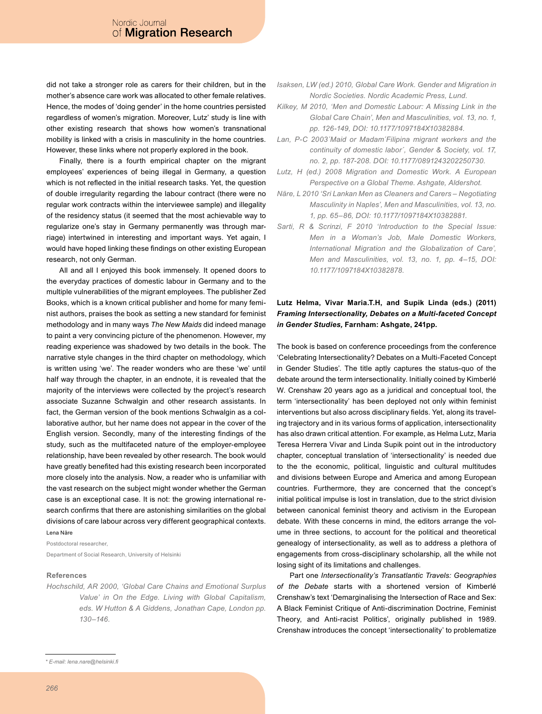did not take a stronger role as carers for their children, but in the mother's absence care work was allocated to other female relatives. Hence, the modes of 'doing gender' in the home countries persisted regardless of women's migration. Moreover, Lutz' study is line with other existing research that shows how women's transnational mobility is linked with a crisis in masculinity in the home countries. However, these links where not properly explored in the book.

Finally, there is a fourth empirical chapter on the migrant employees' experiences of being illegal in Germany, a question which is not reflected in the initial research tasks. Yet, the question of double irregularity regarding the labour contract (there were no regular work contracts within the interviewee sample) and illegality of the residency status (it seemed that the most achievable way to regularize one's stay in Germany permanently was through marriage) intertwined in interesting and important ways. Yet again, I would have hoped linking these findings on other existing European research, not only German.

All and all I enjoyed this book immensely. It opened doors to the everyday practices of domestic labour in Germany and to the multiple vulnerabilities of the migrant employees. The publisher Zed Books, which is a known critical publisher and home for many feminist authors, praises the book as setting a new standard for feminist methodology and in many ways The New Maids did indeed manage to paint a very convincing picture of the phenomenon. However, my reading experience was shadowed by two details in the book. The narrative style changes in the third chapter on methodology, which is written using 'we'. The reader wonders who are these 'we' until half way through the chapter, in an endnote, it is revealed that the majority of the interviews were collected by the project's research associate Suzanne Schwalgin and other research assistants. In fact, the German version of the book mentions Schwalgin as a collaborative author, but her name does not appear in the cover of the English version. Secondly, many of the interesting findings of the study, such as the multifaceted nature of the employer-employee relationship, have been revealed by other research. The book would have greatly benefited had this existing research been incorporated more closely into the analysis. Now, a reader who is unfamiliar with the vast research on the subject might wonder whether the German case is an exceptional case. It is not: the growing international research confirms that there are astonishing similarities on the global divisions of care labour across very different geographical contexts. Lena Näre

Postdoctoral researcher.

Department of Social Research, University of Helsinki

### **References**

Hochschild, AR 2000, 'Global Care Chains and Emotional Surplus Value' in On the Edge. Living with Global Capitalism, eds. W Hutton & A Giddens, Jonathan Cape, London pp.  $130 - 146.$ 

- Kilkey, M 2010, 'Men and Domestic Labour: A Missing Link in the Global Care Chain', Men and Masculinities, vol. 13, no. 1, pp. 126-149, DOI: 10.1177/1097184X10382884.
- Lan, P-C 2003'Maid or Madam'Filipina migrant workers and the continuity of domestic labor', Gender & Society, vol. 17, no. 2, pp. 187-208. DOI: 10.1177/0891243202250730.
- Lutz, H (ed.) 2008 Migration and Domestic Work. A European Perspective on a Global Theme. Ashgate, Aldershot.
- Näre, L 2010 'Sri Lankan Men as Cleaners and Carers Negotiating Masculinity in Naples', Men and Masculinities, vol. 13, no. 1, pp. 65-86, DOI: 10.1177/1097184X10382881.
- Sarti, R & Scrinzi, F 2010 'Introduction to the Special Issue: Men in a Woman's Job, Male Domestic Workers, International Migration and the Globalization of Care', Men and Masculinities, vol. 13, no. 1, pp. 4-15, DOI: 10.1177/1097184X10382878.

# Lutz Helma, Vivar Maria.T.H, and Supik Linda (eds.) (2011) Framing Intersectionality, Debates on a Multi-faceted Concept in Gender Studies, Farnham: Ashgate, 241pp.

The book is based on conference proceedings from the conference 'Celebrating Intersectionality? Debates on a Multi-Faceted Concept in Gender Studies'. The title aptly captures the status-quo of the debate around the term intersectionality. Initially coined by Kimberlé W. Crenshaw 20 years ago as a juridical and conceptual tool, the term 'intersectionality' has been deployed not only within feminist interventions but also across disciplinary fields. Yet, along its traveling trajectory and in its various forms of application, intersectionality has also drawn critical attention. For example, as Helma Lutz, Maria Teresa Herrera Vivar and Linda Supik point out in the introductory chapter, conceptual translation of 'intersectionality' is needed due to the the economic, political, linguistic and cultural multitudes and divisions between Europe and America and among European countries. Furthermore, they are concerned that the concept's initial political impulse is lost in translation, due to the strict division between canonical feminist theory and activism in the European debate. With these concerns in mind, the editors arrange the volume in three sections, to account for the political and theoretical genealogy of intersectionality, as well as to address a plethora of engagements from cross-disciplinary scholarship, all the while not losing sight of its limitations and challenges.

Part one Intersectionality's Transatlantic Travels: Geographies of the Debate starts with a shortened version of Kimberlé Crenshaw's text 'Demarginalising the Intersection of Race and Sex: A Black Feminist Critique of Anti-discrimination Doctrine, Feminist Theory, and Anti-racist Politics', originally published in 1989. Crenshaw introduces the concept 'intersectionality' to problematize

Isaksen, LW (ed.) 2010, Global Care Work. Gender and Migration in Nordic Societies, Nordic Academic Press, Lund.

<sup>\*</sup> E-mail: lena.nare@helsinki.fi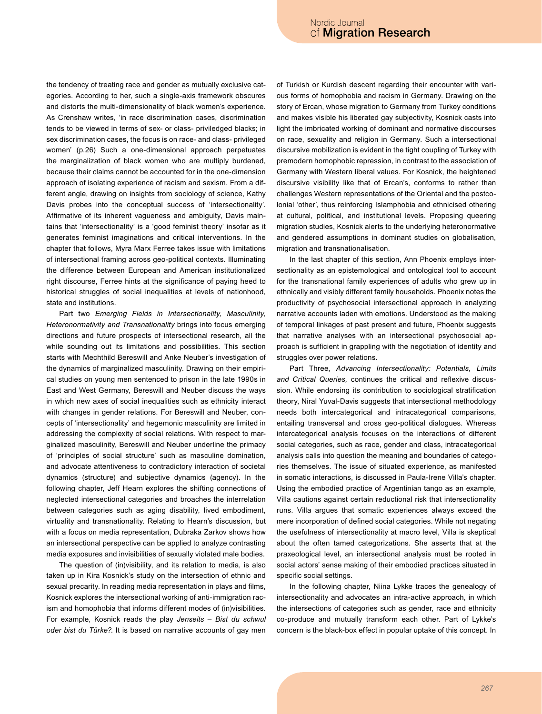the tendency of treating race and gender as mutually exclusive categories. According to her, such a single-axis framework obscures and distorts the multi-dimensionality of black women's experience. As Crenshaw writes, 'in race discrimination cases, discrimination tends to be viewed in terms of sex- or class- priviledged blacks; in sex discrimination cases, the focus is on race- and class- privileged women' (p.26) Such a one-dimensional approach perpetuates the marginalization of black women who are multiply burdened, because their claims cannot be accounted for in the one-dimension approach of isolating experience of racism and sexism. From a different angle, drawing on insights from sociology of science, Kathy Davis probes into the conceptual success of 'intersectionality'. Affirmative of its inherent vagueness and ambiguity, Davis maintains that 'intersectionality' is a 'good feminist theory' insofar as it generates feminist imaginations and critical interventions. In the chapter that follows, Myra Marx Ferree takes issue with limitations of intersectional framing across geo-political contexts. Illuminating the difference between European and American institutionalized right discourse, Ferree hints at the significance of paying heed to historical struggles of social inequalities at levels of nationhood, state and institutions.

Part two Emerging Fields in Intersectionality, Masculinity, Heteronormativity and Transnationality brings into focus emerging directions and future prospects of intersectional research, all the while sounding out its limitations and possibilities. This section starts with Mechthild Bereswill and Anke Neuber's investigation of the dynamics of marginalized masculinity. Drawing on their empirical studies on young men sentenced to prison in the late 1990s in East and West Germany, Bereswill and Neuber discuss the ways in which new axes of social inequalities such as ethnicity interact with changes in gender relations. For Bereswill and Neuber, concepts of 'intersectionality' and hegemonic masculinity are limited in addressing the complexity of social relations. With respect to marginalized masculinity, Bereswill and Neuber underline the primacy of 'principles of social structure' such as masculine domination, and advocate attentiveness to contradictory interaction of societal dynamics (structure) and subjective dynamics (agency). In the following chapter, Jeff Hearn explores the shifting connections of neglected intersectional categories and broaches the interrelation between categories such as aging disability, lived embodiment, virtuality and transnationality. Relating to Hearn's discussion, but with a focus on media representation, Dubraka Zarkov shows how an intersectional perspective can be applied to analyze contrasting media exposures and invisibilities of sexually violated male bodies.

The question of (in)visibility, and its relation to media, is also taken up in Kira Kosnick's study on the intersection of ethnic and sexual precarity. In reading media representation in plays and films, Kosnick explores the intersectional working of anti-immigration racism and homophobia that informs different modes of (in)visibilities. For example, Kosnick reads the play Jenseits - Bist du schwul oder bist du Türke?. It is based on narrative accounts of gay men of Turkish or Kurdish descent regarding their encounter with various forms of homophobia and racism in Germany. Drawing on the story of Ercan, whose migration to Germany from Turkey conditions and makes visible his liberated gay subjectivity, Kosnick casts into light the imbricated working of dominant and normative discourses on race, sexuality and religion in Germany. Such a intersectional discursive mobilization is evident in the tight coupling of Turkey with premodern homophobic repression, in contrast to the association of Germany with Western liberal values. For Kosnick, the heightened discursive visibility like that of Ercan's, conforms to rather than challenges Western representations of the Oriental and the postcolonial 'other', thus reinforcing Islamphobia and ethnicised othering at cultural, political, and institutional levels. Proposing queering migration studies, Kosnick alerts to the underlying heteronormative and gendered assumptions in dominant studies on globalisation, migration and transnationalisation.

In the last chapter of this section, Ann Phoenix employs intersectionality as an epistemological and ontological tool to account for the transnational family experiences of adults who grew up in ethnically and visibly different family households. Phoenix notes the productivity of psychosocial intersectional approach in analyzing narrative accounts laden with emotions. Understood as the making of temporal linkages of past present and future, Phoenix suggests that narrative analyses with an intersectional psychosocial approach is sufficient in grappling with the negotiation of identity and struggles over power relations.

Part Three, Advancing Intersectionality: Potentials, Limits and Critical Queries, continues the critical and reflexive discussion. While endorsing its contribution to sociological stratification theory, Niral Yuval-Davis suggests that intersectional methodology needs both intercategorical and intracategorical comparisons, entailing transversal and cross geo-political dialogues. Whereas intercategorical analysis focuses on the interactions of different social categories, such as race, gender and class, intracategorical analysis calls into question the meaning and boundaries of categories themselves. The issue of situated experience, as manifested in somatic interactions, is discussed in Paula-Irene Villa's chapter. Using the embodied practice of Argentinian tango as an example, Villa cautions against certain reductional risk that intersectionality runs. Villa argues that somatic experiences always exceed the mere incorporation of defined social categories. While not negating the usefulness of intersectionality at macro level, Villa is skeptical about the often tamed categorizations. She asserts that at the praxeological level, an intersectional analysis must be rooted in social actors' sense making of their embodied practices situated in specific social settings.

In the following chapter, Niina Lykke traces the genealogy of intersectionality and advocates an intra-active approach, in which the intersections of categories such as gender, race and ethnicity co-produce and mutually transform each other. Part of Lykke's concern is the black-box effect in popular uptake of this concept. In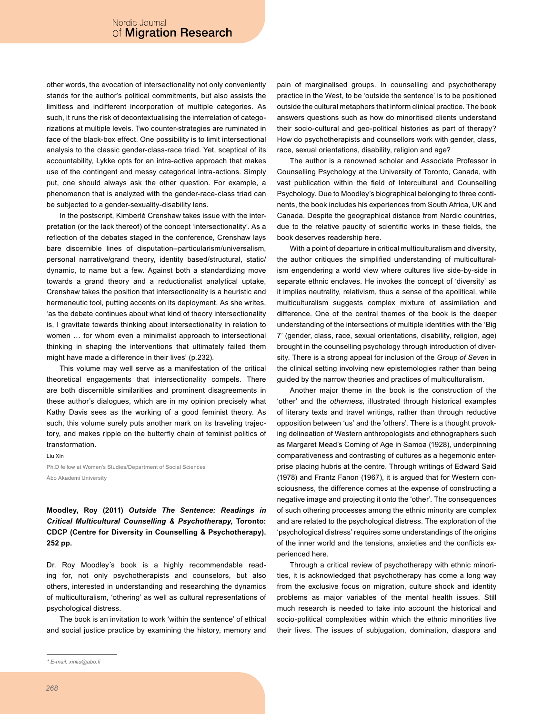other words, the evocation of intersectionality not only conveniently stands for the author's political commitments, but also assists the limitless and indifferent incorporation of multiple categories. As such, it runs the risk of decontextualising the interrelation of categorizations at multiple levels. Two counter-strategies are ruminated in face of the black-box effect. One possibility is to limit intersectional analysis to the classic gender-class-race triad. Yet, sceptical of its accountability, Lykke opts for an intra-active approach that makes use of the contingent and messy categorical intra-actions. Simply put, one should always ask the other question. For example, a phenomenon that is analyzed with the gender-race-class triad can be subjected to a gender-sexuality-disability lens.

In the postscript, Kimberlé Crenshaw takes issue with the interpretation (or the lack thereof) of the concept 'intersectionality'. As a reflection of the debates staged in the conference, Crenshaw lays bare discernible lines of disputation-particularism/universalism, personal narrative/grand theory, identity based/structural, static/ dynamic, to name but a few. Against both a standardizing move towards a grand theory and a reductionalist analytical uptake, Crenshaw takes the position that intersectionality is a heuristic and hermeneutic tool, putting accents on its deployment. As she writes, 'as the debate continues about what kind of theory intersectionality is, I gravitate towards thinking about intersectionality in relation to women ... for whom even a minimalist approach to intersectional thinking in shaping the interventions that ultimately failed them might have made a difference in their lives' (p.232).

This volume may well serve as a manifestation of the critical theoretical engagements that intersectionality compels. There are both discernible similarities and prominent disagreements in these author's dialogues, which are in my opinion precisely what Kathy Davis sees as the working of a good feminist theory. As such, this volume surely puts another mark on its traveling trajectory, and makes ripple on the butterfly chain of feminist politics of transformation.

Liu Xin Ph.D fellow at Women's Studies/Department of Social Sciences Åbo Akademi University

Moodley, Roy (2011) Outside The Sentence: Readings in Critical Multicultural Counselling & Psychotherapy, Toronto: CDCP (Centre for Diversity in Counselling & Psychotherapy).

Dr. Roy Moodley's book is a highly recommendable reading for, not only psychotherapists and counselors, but also others, interested in understanding and researching the dynamics of multiculturalism, 'othering' as well as cultural representations of psychological distress.

The book is an invitation to work 'within the sentence' of ethical and social justice practice by examining the history, memory and

pain of marginalised groups. In counselling and psychotherapy practice in the West, to be 'outside the sentence' is to be positioned outside the cultural metaphors that inform clinical practice. The book answers questions such as how do minoritised clients understand their socio-cultural and geo-political histories as part of therapy? How do psychotherapists and counsellors work with gender, class, race, sexual orientations, disability, religion and age?

The author is a renowned scholar and Associate Professor in Counselling Psychology at the University of Toronto, Canada, with vast publication within the field of Intercultural and Counselling Psychology. Due to Moodley's biographical belonging to three continents, the book includes his experiences from South Africa, UK and Canada. Despite the geographical distance from Nordic countries, due to the relative paucity of scientific works in these fields, the book deserves readership here.

With a point of departure in critical multiculturalism and diversity, the author critiques the simplified understanding of multiculturalism engendering a world view where cultures live side-by-side in separate ethnic enclaves. He invokes the concept of 'diversity' as it implies neutrality, relativism, thus a sense of the apolitical, while multiculturalism suggests complex mixture of assimilation and difference. One of the central themes of the book is the deeper understanding of the intersections of multiple identities with the 'Big 7' (gender, class, race, sexual orientations, disability, religion, age) brought in the counselling psychology through introduction of diversity. There is a strong appeal for inclusion of the Group of Seven in the clinical setting involving new epistemologies rather than being guided by the narrow theories and practices of multiculturalism.

Another major theme in the book is the construction of the 'other' and the otherness, illustrated through historical examples of literary texts and travel writings, rather than through reductive opposition between 'us' and the 'others'. There is a thought provoking delineation of Western anthropologists and ethnographers such as Margaret Mead's Coming of Age in Samoa (1928), underpinning comparativeness and contrasting of cultures as a hegemonic enterprise placing hubris at the centre. Through writings of Edward Said (1978) and Frantz Fanon (1967), it is argued that for Western consciousness, the difference comes at the expense of constructing a negative image and projecting it onto the 'other'. The consequences of such othering processes among the ethnic minority are complex and are related to the psychological distress. The exploration of the 'psychological distress' requires some understandings of the origins of the inner world and the tensions, anxieties and the conflicts experienced here.

Through a critical review of psychotherapy with ethnic minorities, it is acknowledged that psychotherapy has come a long way from the exclusive focus on migration, culture shock and identity problems as major variables of the mental health issues. Still much research is needed to take into account the historical and socio-political complexities within which the ethnic minorities live their lives. The issues of subjugation, domination, diaspora and

252 pp.

<sup>\*</sup> E-mail: xinliu@abo.fi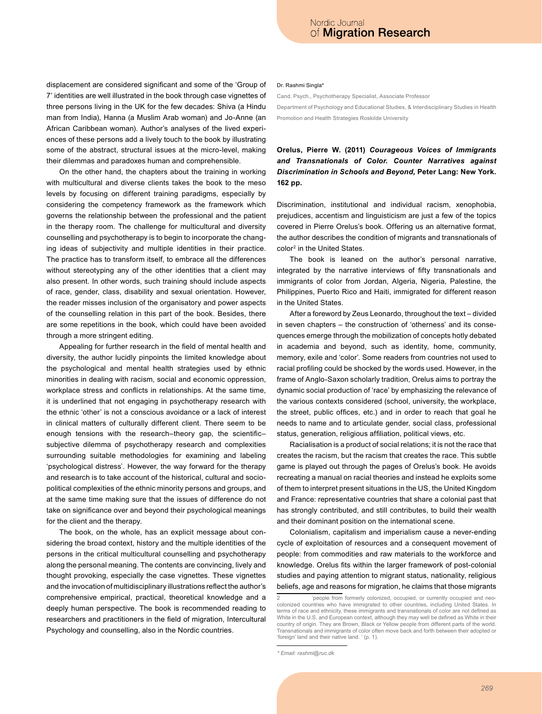displacement are considered significant and some of the 'Group of 7' identities are well illustrated in the book through case vignettes of three persons living in the UK for the few decades: Shiva (a Hindu man from India), Hanna (a Muslim Arab woman) and Jo-Anne (an African Caribbean woman). Author's analyses of the lived experiences of these persons add a lively touch to the book by illustrating some of the abstract, structural issues at the micro-level, making their dilemmas and paradoxes human and comprehensible.

On the other hand, the chapters about the training in working with multicultural and diverse clients takes the book to the meso levels by focusing on different training paradigms, especially by considering the competency framework as the framework which governs the relationship between the professional and the patient in the therapy room. The challenge for multicultural and diversity counselling and psychotherapy is to begin to incorporate the changing ideas of subjectivity and multiple identities in their practice. The practice has to transform itself, to embrace all the differences without stereotyping any of the other identities that a client may also present. In other words, such training should include aspects of race, gender, class, disability and sexual orientation. However, the reader misses inclusion of the organisatory and power aspects of the counselling relation in this part of the book. Besides, there are some repetitions in the book, which could have been avoided through a more stringent editing.

Appealing for further research in the field of mental health and diversity, the author lucidly pinpoints the limited knowledge about the psychological and mental health strategies used by ethnic minorities in dealing with racism, social and economic oppression, workplace stress and conflicts in relationships. At the same time, it is underlined that not engaging in psychotherapy research with the ethnic 'other' is not a conscious avoidance or a lack of interest in clinical matters of culturally different client. There seem to be enough tensions with the research-theory gap, the scientificsubjective dilemma of psychotherapy research and complexities surrounding suitable methodologies for examining and labeling 'psychological distress'. However, the way forward for the therapy and research is to take account of the historical, cultural and sociopolitical complexities of the ethnic minority persons and groups, and at the same time making sure that the issues of difference do not take on significance over and beyond their psychological meanings for the client and the therapy.

The book, on the whole, has an explicit message about considering the broad context, history and the multiple identities of the persons in the critical multicultural counselling and psychotherapy along the personal meaning. The contents are convincing, lively and thought provoking, especially the case vignettes. These vignettes and the invocation of multidisciplinary illustrations reflect the author's comprehensive empirical, practical, theoretical knowledge and a deeply human perspective. The book is recommended reading to researchers and practitioners in the field of migration, Intercultural Psychology and counselling, also in the Nordic countries.

#### Dr. Rashmi Singla\*

Cand. Psych., Psychotherapy Specialist, Associate Professor Department of Psychology and Educational Studies, & Interdisciplinary Studies in Health Promotion and Health Strategies Roskilde University

# Orelus, Pierre W. (2011) Courageous Voices of Immigrants and Transnationals of Color. Counter Narratives against Discrimination in Schools and Beyond, Peter Lang: New York. 162 pp.

Discrimination, institutional and individual racism, xenophobia, prejudices, accentism and linguisticism are just a few of the topics covered in Pierre Orelus's book. Offering us an alternative format, the author describes the condition of migrants and transnationals of color<sup>2</sup> in the United States.

The book is leaned on the author's personal narrative, integrated by the narrative interviews of fifty transnationals and immigrants of color from Jordan, Algeria, Nigeria, Palestine, the Philippines, Puerto Rico and Haiti, immigrated for different reason in the United States.

After a foreword by Zeus Leonardo, throughout the text - divided in seven chapters - the construction of 'otherness' and its consequences emerge through the mobilization of concepts hotly debated in academia and beyond, such as identity, home, community, memory, exile and 'color'. Some readers from countries not used to racial profiling could be shocked by the words used. However, in the frame of Anglo-Saxon scholarly tradition, Orelus aims to portray the dynamic social production of 'race' by emphasizing the relevance of the various contexts considered (school, university, the workplace, the street, public offices, etc.) and in order to reach that goal he needs to name and to articulate gender, social class, professional status, generation, religious affiliation, political views, etc.

Racialisation is a product of social relations; it is not the race that creates the racism, but the racism that creates the race. This subtle game is played out through the pages of Orelus's book. He avoids recreating a manual on racial theories and instead he exploits some of them to interpret present situations in the US, the United Kingdom and France: representative countries that share a colonial past that has strongly contributed, and still contributes, to build their wealth and their dominant position on the international scene.

Colonialism, capitalism and imperialism cause a never-ending cycle of exploitation of resources and a consequent movement of people: from commodities and raw materials to the workforce and knowledge. Orelus fits within the larger framework of post-colonial studies and paying attention to migrant status, nationality, religious beliefs, age and reasons for migration, he claims that those migrants

<sup>&#</sup>x27;people from formerly colonized, occupied, or currently occupied and neocolonized countries who have immigrated to other countries, including United States. In terms of race and ethnicity, these immigrants and transnationals of color are not defined as White in the U.S. and European context, although they may well be defined as White in their country of origin. They are Brown, Black or Yellow people from different parts of the world. Transnationals and immigrants of color often move back and forth between their adopted or 'foreign' land and their native land. ' (p. 1).

<sup>\*</sup> Email: rashmi@ruc.dk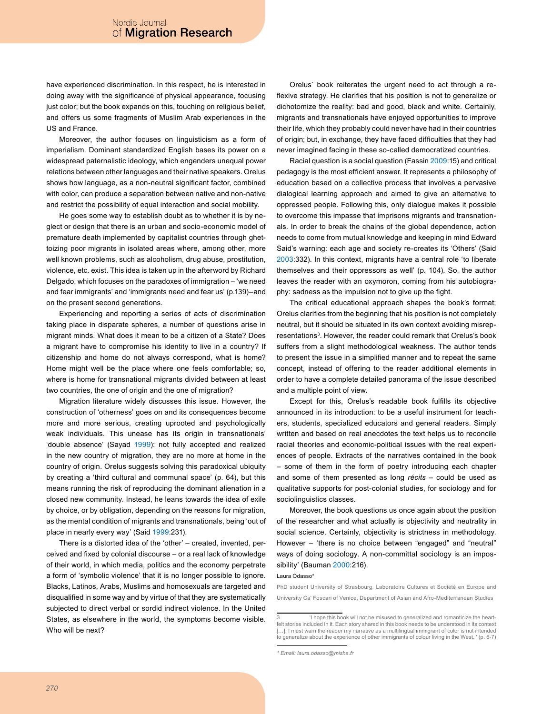have experienced discrimination. In this respect, he is interested in doing away with the significance of physical appearance, focusing just color; but the book expands on this, touching on religious belief, and offers us some fragments of Muslim Arab experiences in the US and France

Moreover, the author focuses on linguisticism as a form of imperialism. Dominant standardized English bases its power on a widespread paternalistic ideology, which engenders unequal power relations between other languages and their native speakers. Orelus shows how language, as a non-neutral significant factor, combined with color, can produce a separation between native and non-native and restrict the possibility of equal interaction and social mobility.

He goes some way to establish doubt as to whether it is by neglect or design that there is an urban and socio-economic model of premature death implemented by capitalist countries through ghettoizing poor migrants in isolated areas where, among other, more well known problems, such as alcoholism, drug abuse, prostitution, violence, etc. exist. This idea is taken up in the afterword by Richard Delgado, which focuses on the paradoxes of immigration - 'we need and fear immigrants' and 'immigrants need and fear us' (p.139)-and on the present second generations.

Experiencing and reporting a series of acts of discrimination taking place in disparate spheres, a number of questions arise in migrant minds. What does it mean to be a citizen of a State? Does a migrant have to compromise his identity to live in a country? If citizenship and home do not always correspond, what is home? Home might well be the place where one feels comfortable; so, where is home for transnational migrants divided between at least two countries, the one of origin and the one of migration?

Migration literature widely discusses this issue. However, the construction of 'otherness' goes on and its consequences become more and more serious, creating uprooted and psychologically weak individuals. This unease has its origin in transnationals' 'double absence' (Sayad 1999): not fully accepted and realized in the new country of migration, they are no more at home in the country of origin. Orelus suggests solving this paradoxical ubiquity by creating a 'third cultural and communal space' (p. 64), but this means running the risk of reproducing the dominant alienation in a closed new community. Instead, he leans towards the idea of exile by choice, or by obligation, depending on the reasons for migration, as the mental condition of migrants and transnationals, being 'out of place in nearly every way' (Said 1999:231).

There is a distorted idea of the 'other' – created, invented, perceived and fixed by colonial discourse - or a real lack of knowledge of their world, in which media, politics and the economy perpetrate a form of 'symbolic violence' that it is no longer possible to ignore. Blacks, Latinos, Arabs, Muslims and homosexuals are targeted and disqualified in some way and by virtue of that they are systematically subjected to direct verbal or sordid indirect violence. In the United States, as elsewhere in the world, the symptoms become visible. Who will be next?

Orelus' book reiterates the urgent need to act through a reflexive strategy. He clarifies that his position is not to generalize or dichotomize the reality: bad and good, black and white. Certainly, migrants and transnationals have enjoyed opportunities to improve their life, which they probably could never have had in their countries of origin; but, in exchange, they have faced difficulties that they had never imagined facing in these so-called democratized countries.

Racial question is a social question (Fassin 2009:15) and critical pedagogy is the most efficient answer. It represents a philosophy of education based on a collective process that involves a pervasive dialogical learning approach and aimed to give an alternative to oppressed people. Following this, only dialogue makes it possible to overcome this impasse that imprisons migrants and transnationals. In order to break the chains of the global dependence, action needs to come from mutual knowledge and keeping in mind Edward Said's warning: each age and society re-creates its 'Others' (Said 2003:332). In this context, migrants have a central role 'to liberate themselves and their oppressors as well' (p. 104). So, the author leaves the reader with an oxymoron, coming from his autobiography: sadness as the impulsion not to give up the fight.

The critical educational approach shapes the book's format; Orelus clarifies from the beginning that his position is not completely neutral, but it should be situated in its own context avoiding misrepresentations<sup>3</sup>. However, the reader could remark that Orelus's book suffers from a slight methodological weakness. The author tends to present the issue in a simplified manner and to repeat the same concept, instead of offering to the reader additional elements in order to have a complete detailed panorama of the issue described and a multiple point of view.

Except for this, Orelus's readable book fulfills its objective announced in its introduction: to be a useful instrument for teachers, students, specialized educators and general readers. Simply written and based on real anecdotes the text helps us to reconcile racial theories and economic-political issues with the real experiences of people. Extracts of the narratives contained in the book - some of them in the form of poetry introducing each chapter and some of them presented as long récits - could be used as qualitative supports for post-colonial studies, for sociology and for sociolinguistics classes.

Moreover, the book questions us once again about the position of the researcher and what actually is objectivity and neutrality in social science. Certainly, objectivity is strictness in methodology. However - 'there is no choice between "engaged" and "neutral" ways of doing sociology. A non-committal sociology is an impossibility' (Bauman 2000:216).

### Laura Odasso

PhD student University of Strasbourg, Laboratoire Cultures et Société en Europe and University Ca' Foscari of Venice, Department of Asian and Afro-Mediterranean Studies

<sup>&#</sup>x27;I hope this book will not be misused to generalized and romanticize the heartfelt stories included in it. Each story shared in this book needs to be understood in its context [...]. I must warn the reader my narrative as a multilingual immigrant of color is not intended to generalize about the experience of other immigrants of colour living in the West. ' (p. 6-7)

<sup>\*</sup> Email: laura.odasso@misha.fr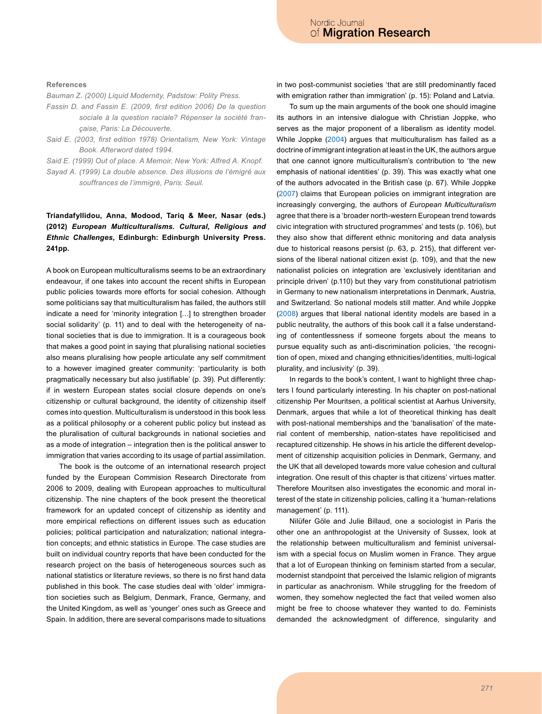### References

Bauman Z. (2000) Liquid Modernity, Padstow: Polity Press.

- Fassin D. and Fassin E. (2009, first edition 2006) De la question sociale à la question raciale? Répenser la société française, Paris: La Découverte.
- Said E. (2003, first edition 1978) Orientalism, New York: Vintage Book. Afterword dated 1994.
- Said E. (1999) Out of place. A Memoir, New York: Alfred A. Knopf.
- Sayad A. (1999) La double absence. Des illusions de l'émigré aux souffrances de l'immigré, Paris: Seuil.

# Triandafyllidou, Anna, Modood, Tariq & Meer, Nasar (eds.) (2012) European Multiculturalisms, Cultural, Religious and Ethnic Challenges, Edinburgh: Edinburgh University Press. 241pp.

A book on European multiculturalisms seems to be an extraordinary endeavour, if one takes into account the recent shifts in European public policies towards more efforts for social cohesion. Although some politicians say that multiculturalism has failed, the authors still indicate a need for 'minority integration [...] to strengthen broader social solidarity' (p. 11) and to deal with the heterogeneity of national societies that is due to immigration. It is a courageous book that makes a good point in saying that pluralising national societies also means pluralising how people articulate any self commitment to a however imagined greater community: 'particularity is both pragmatically necessary but also justifiable' (p. 39). Put differently: if in western European states social closure depends on one's citizenship or cultural background, the identity of citizenship itself comes into question. Multiculturalism is understood in this book less as a political philosophy or a coherent public policy but instead as the pluralisation of cultural backgrounds in national societies and as a mode of integration – integration then is the political answer to immigration that varies according to its usage of partial assimilation.

The book is the outcome of an international research project funded by the European Commision Research Directorate from 2006 to 2009, dealing with European approaches to multicultural citizenship. The nine chapters of the book present the theoretical framework for an updated concept of citizenship as identity and more empirical reflections on different issues such as education policies; political participation and naturalization; national integration concepts: and ethnic statistics in Europe. The case studies are built on individual country reports that have been conducted for the research project on the basis of heterogeneous sources such as national statistics or literature reviews, so there is no first hand data published in this book. The case studies deal with 'older' immigration societies such as Belgium, Denmark, France, Germany, and the United Kingdom, as well as 'younger' ones such as Greece and Spain. In addition, there are several comparisons made to situations in two post-communist societies 'that are still predominantly faced with emigration rather than immigration' (p. 15): Poland and Latvia.

To sum up the main arguments of the book one should imagine its authors in an intensive dialogue with Christian Joppke, who serves as the major proponent of a liberalism as identity model. While Joppke (2004) argues that multiculturalism has failed as a doctrine of immigrant integration at least in the UK, the authors argue that one cannot ignore multiculturalism's contribution to 'the new emphasis of national identities' (p. 39). This was exactly what one of the authors advocated in the British case (p. 67). While Joppke (2007) claims that European policies on immigrant integration are increasingly converging, the authors of European Multiculturalism agree that there is a 'broader north-western European trend towards civic integration with structured programmes' and tests (p. 106), but they also show that different ethnic monitoring and data analysis due to historical reasons persist (p. 63, p. 215), that different versions of the liberal national citizen exist (p. 109), and that the new nationalist policies on integration are 'exclusively identitarian and principle driven' (p.110) but they vary from constitutional patriotism in Germany to new nationalism interpretations in Denmark, Austria, and Switzerland. So national models still matter. And while Joppke (2008) argues that liberal national identity models are based in a public neutrality, the authors of this book call it a false understanding of contentlessness if someone forgets about the means to pursue equality such as anti-discrimination policies, 'the recognition of open, mixed and changing ethnicities/identities, multi-logical plurality, and inclusivity' (p. 39).

In regards to the book's content, I want to highlight three chapters I found particularly interesting. In his chapter on post-national citizenship Per Mouritsen, a political scientist at Aarhus University, Denmark, argues that while a lot of theoretical thinking has dealt with post-national memberships and the 'banalisation' of the material content of membership, nation-states have repoliticised and recaptured citizenship. He shows in his article the different development of citizenship acquisition policies in Denmark, Germany, and the UK that all developed towards more value cohesion and cultural integration. One result of this chapter is that citizens' virtues matter. Therefore Mouritsen also investigates the economic and moral interest of the state in citizenship policies, calling it a 'human-relations management' (p. 111).

Nilüfer Göle and Julie Billaud, one a sociologist in Paris the other one an anthropologist at the University of Sussex, look at the relationship between multiculturalism and feminist universalism with a special focus on Muslim women in France. They argue that a lot of European thinking on feminism started from a secular, modernist standpoint that perceived the Islamic religion of migrants in particular as anachronism. While struggling for the freedom of women, they somehow neglected the fact that veiled women also might be free to choose whatever they wanted to do. Feminists demanded the acknowledgment of difference, singularity and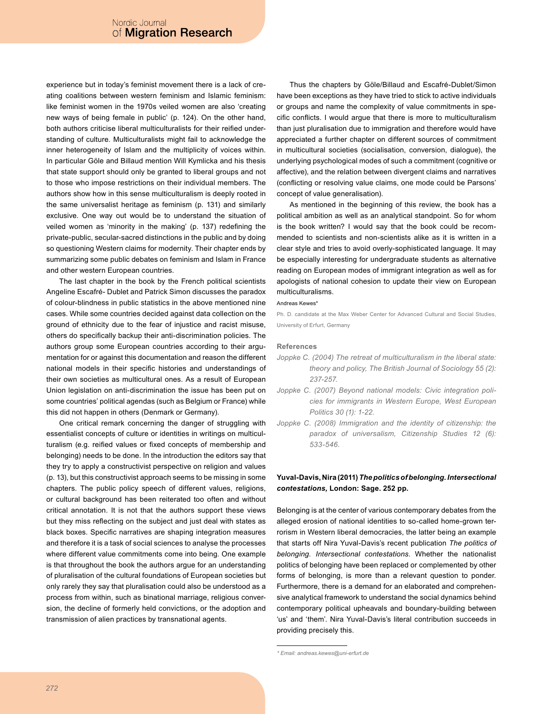experience but in today's feminist movement there is a lack of creating coalitions between western feminism and Islamic feminism: like feminist women in the 1970s veiled women are also 'creating new ways of being female in public' (p. 124). On the other hand, both authors criticise liberal multiculturalists for their reified understanding of culture. Multiculturalists might fail to acknowledge the inner heterogeneity of Islam and the multiplicity of voices within. In particular Göle and Billaud mention Will Kymlicka and his thesis that state support should only be granted to liberal groups and not to those who impose restrictions on their individual members. The authors show how in this sense multiculturalism is deeply rooted in the same universalist heritage as feminism (p. 131) and similarly exclusive. One way out would be to understand the situation of veiled women as 'minority in the making' (p. 137) redefining the private-public, secular-sacred distinctions in the public and by doing so questioning Western claims for modernity. Their chapter ends by summarizing some public debates on feminism and Islam in France and other western European countries.

The last chapter in the book by the French political scientists Angeline Escafré-Dublet and Patrick Simon discusses the paradox of colour-blindness in public statistics in the above mentioned nine cases. While some countries decided against data collection on the ground of ethnicity due to the fear of injustice and racist misuse, others do specifically backup their anti-discrimination policies. The authors group some European countries according to their argumentation for or against this documentation and reason the different national models in their specific histories and understandings of their own societies as multicultural ones. As a result of European Union legislation on anti-discrimination the issue has been put on some countries' political agendas (such as Belgium or France) while this did not happen in others (Denmark or Germany).

One critical remark concerning the danger of struggling with essentialist concepts of culture or identities in writings on multiculturalism (e.g. reified values or fixed concepts of membership and belonging) needs to be done. In the introduction the editors say that they try to apply a constructivist perspective on religion and values (p. 13), but this constructivist approach seems to be missing in some chapters. The public policy speech of different values, religions, or cultural background has been reiterated too often and without critical annotation. It is not that the authors support these views but they miss reflecting on the subject and just deal with states as black boxes. Specific narratives are shaping integration measures and therefore it is a task of social sciences to analyse the processes where different value commitments come into being. One example is that throughout the book the authors argue for an understanding of pluralisation of the cultural foundations of European societies but only rarely they say that pluralisation could also be understood as a process from within, such as binational marriage, religious conversion, the decline of formerly held convictions, or the adoption and transmission of alien practices by transnational agents.

Thus the chapters by Göle/Billaud and Escafré-Dublet/Simon have been exceptions as they have tried to stick to active individuals or groups and name the complexity of value commitments in specific conflicts. I would argue that there is more to multiculturalism than just pluralisation due to immigration and therefore would have appreciated a further chapter on different sources of commitment in multicultural societies (socialisation, conversion, dialogue), the underlying psychological modes of such a commitment (cognitive or affective), and the relation between divergent claims and narratives (conflicting or resolving value claims, one mode could be Parsons' concept of value generalisation).

As mentioned in the beginning of this review, the book has a political ambition as well as an analytical standpoint. So for whom is the book written? I would say that the book could be recommended to scientists and non-scientists alike as it is written in a clear style and tries to avoid overly-sophisticated language. It may be especially interesting for undergraduate students as alternative reading on European modes of immigrant integration as well as for apologists of national cohesion to update their view on European multiculturalisms.

#### Andreas Kewes

Ph. D. candidate at the Max Weber Center for Advanced Cultural and Social Studies, University of Erfurt, Germany

#### **References**

- Joppke C. (2004) The retreat of multiculturalism in the liberal state: theory and policy, The British Journal of Sociology 55 (2): 237-257
- Joppke C. (2007) Beyond national models: Civic integration policies for immigrants in Western Europe, West European Politics 30 (1): 1-22.
- Joppke C. (2008) Immigration and the identity of citizenship: the paradox of universalism, Citizenship Studies 12 (6): 533-546

### Yuval-Davis, Nira (2011) The politics of belonging. Intersectional contestations, London: Sage. 252 pp.

Belonging is at the center of various contemporary debates from the alleged erosion of national identities to so-called home-grown terrorism in Western liberal democracies, the latter being an example that starts off Nira Yuval-Davis's recent publication The politics of belonging. Intersectional contestations. Whether the nationalist politics of belonging have been replaced or complemented by other forms of belonging, is more than a relevant question to ponder. Furthermore, there is a demand for an elaborated and comprehensive analytical framework to understand the social dynamics behind contemporary political upheavals and boundary-building between 'us' and 'them'. Nira Yuval-Davis's literal contribution succeeds in providing precisely this.

<sup>\*</sup> Email: andreas.kewes@uni-erfurt.de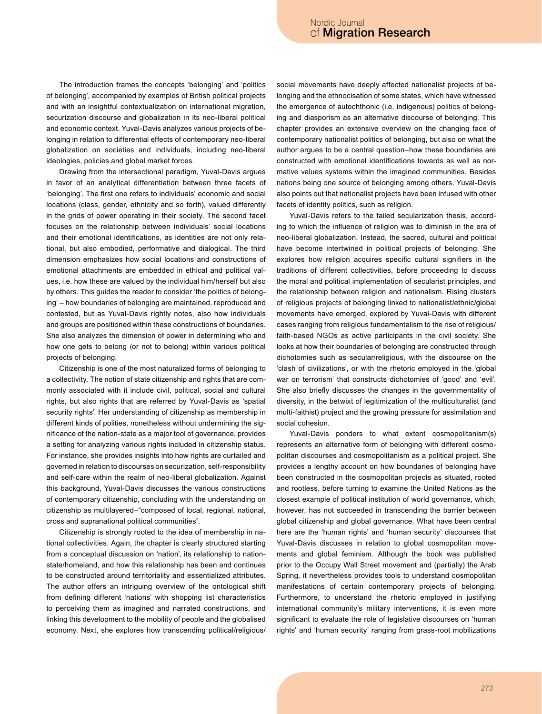The introduction frames the concepts 'belonging' and 'politics of belonging', accompanied by examples of British political projects and with an insightful contextualization on international migration, securization discourse and globalization in its neo-liberal political and economic context. Yuval-Davis analyzes various projects of belonging in relation to differential effects of contemporary neo-liberal globalization on societies and individuals, including neo-liberal ideologies, policies and global market forces.

Drawing from the intersectional paradigm, Yuval-Davis argues in favor of an analytical differentiation between three facets of 'belonging'. The first one refers to individuals' economic and social locations (class, gender, ethnicity and so forth), valued differently in the grids of power operating in their society. The second facet focuses on the relationship between individuals' social locations and their emotional identifications, as identities are not only relational, but also embodied, performative and dialogical. The third dimension emphasizes how social locations and constructions of emotional attachments are embedded in ethical and political values, i.e. how these are valued by the individual him/herself but also by others. This guides the reader to consider 'the politics of belonging' - how boundaries of belonging are maintained, reproduced and contested, but as Yuval-Davis rightly notes, also how individuals and groups are positioned within these constructions of boundaries. She also analyzes the dimension of power in determining who and how one gets to belong (or not to belong) within various political projects of belonging.

Citizenship is one of the most naturalized forms of belonging to a collectivity. The notion of state citizenship and rights that are commonly associated with it include civil, political, social and cultural rights, but also rights that are referred by Yuval-Davis as 'spatial security rights'. Her understanding of citizenship as membership in different kinds of polities, nonetheless without undermining the significance of the nation-state as a major tool of governance, provides a setting for analyzing various rights included in citizenship status. For instance, she provides insights into how rights are curtailed and governed in relation to discourses on securization, self-responsibility and self-care within the realm of neo-liberal globalization. Against this background, Yuval-Davis discusses the various constructions of contemporary citizenship, concluding with the understanding on citizenship as multilayered-"composed of local, regional, national, cross and supranational political communities".

Citizenship is strongly rooted to the idea of membership in national collectivities. Again, the chapter is clearly structured starting from a conceptual discussion on 'nation', its relationship to nationstate/homeland, and how this relationship has been and continues to be constructed around territoriality and essentialized attributes. The author offers an intriguing overview of the ontological shift from defining different 'nations' with shopping list characteristics to perceiving them as imagined and narrated constructions, and linking this development to the mobility of people and the globalised economy. Next, she explores how transcending political/religious/ social movements have deeply affected nationalist projects of belonging and the ethnocisation of some states, which have witnessed the emergence of autochthonic (i.e. indigenous) politics of belonging and diasporism as an alternative discourse of belonging. This chapter provides an extensive overview on the changing face of contemporary nationalist politics of belonging, but also on what the author argues to be a central question-how these boundaries are constructed with emotional identifications towards as well as normative values systems within the imagined communities. Besides nations being one source of belonging among others, Yuval-Davis also points out that nationalist projects have been infused with other facets of identity politics, such as religion.

Yuval-Davis refers to the failed secularization thesis, according to which the influence of religion was to diminish in the era of neo-liberal globalization. Instead, the sacred, cultural and political have become intertwined in political projects of belonging. She explores how religion acquires specific cultural signifiers in the traditions of different collectivities, before proceeding to discuss the moral and political implementation of secularist principles, and the relationship between religion and nationalism. Rising clusters of religious projects of belonging linked to nationalist/ethnic/global movements have emerged, explored by Yuval-Davis with different cases ranging from religious fundamentalism to the rise of religious/ faith-based NGOs as active participants in the civil society. She looks at how their boundaries of belonging are constructed through dichotomies such as secular/religious, with the discourse on the 'clash of civilizations', or with the rhetoric employed in the 'global war on terrorism' that constructs dichotomies of 'good' and 'evil'. She also briefly discusses the changes in the governmentality of diversity, in the betwixt of legitimization of the multiculturalist (and multi-faithist) project and the growing pressure for assimilation and social cohesion.

Yuval-Davis ponders to what extent cosmopolitanism(s) represents an alternative form of belonging with different cosmopolitan discourses and cosmopolitanism as a political project. She provides a lengthy account on how boundaries of belonging have been constructed in the cosmopolitan projects as situated, rooted and rootless, before turning to examine the United Nations as the closest example of political institution of world governance, which, however, has not succeeded in transcending the barrier between global citizenship and global governance. What have been central here are the 'human rights' and 'human security' discourses that Yuval-Davis discusses in relation to global cosmopolitan movements and global feminism. Although the book was published prior to the Occupy Wall Street movement and (partially) the Arab Spring, it nevertheless provides tools to understand cosmopolitan manifestations of certain contemporary projects of belonging. Furthermore, to understand the rhetoric employed in justifying international community's military interventions, it is even more significant to evaluate the role of legislative discourses on 'human rights' and 'human security' ranging from grass-root mobilizations